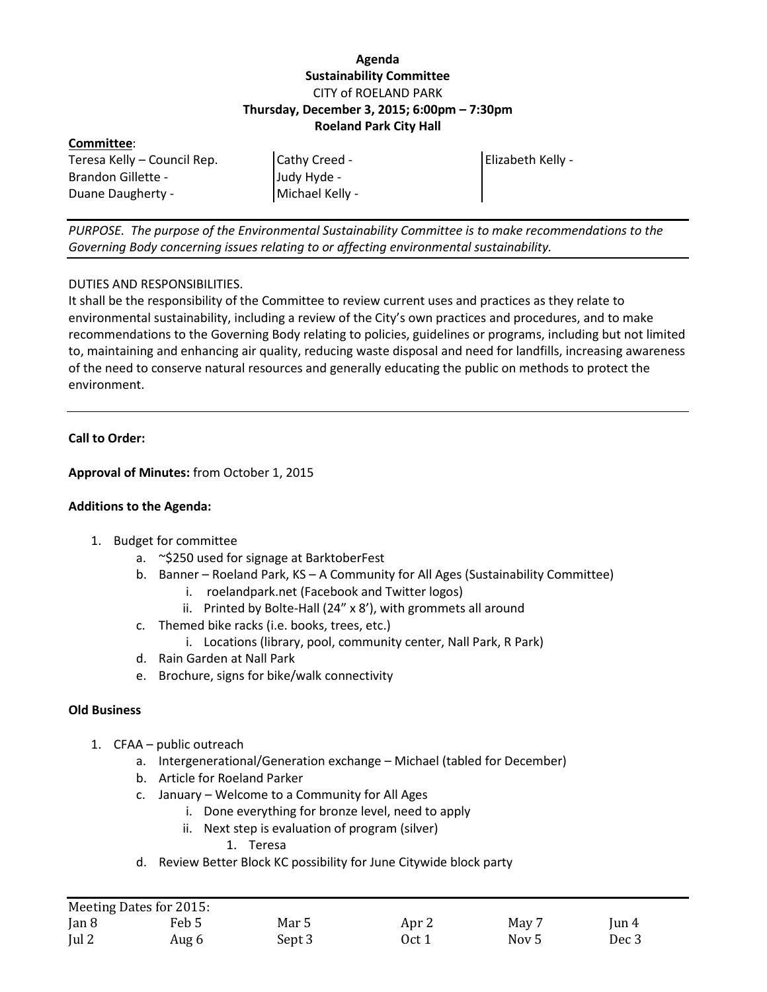# **Agenda Sustainability Committee** CITY of ROELAND PARK **Thursday, December 3, 2015; 6:00pm – 7:30pm Roeland Park City Hall**

#### **Committee**:

Teresa Kelly – Council Rep. Brandon Gillette - Duane Daugherty -

Cathy Creed - Judy Hyde - Michael Kelly - Elizabeth Kelly -

*PURPOSE. The purpose of the Environmental Sustainability Committee is to make recommendations to the Governing Body concerning issues relating to or affecting environmental sustainability.*

### DUTIES AND RESPONSIBILITIES.

It shall be the responsibility of the Committee to review current uses and practices as they relate to environmental sustainability, including a review of the City's own practices and procedures, and to make recommendations to the Governing Body relating to policies, guidelines or programs, including but not limited to, maintaining and enhancing air quality, reducing waste disposal and need for landfills, increasing awareness of the need to conserve natural resources and generally educating the public on methods to protect the environment.

# **Call to Order:**

**Approval of Minutes:** from October 1, 2015

### **Additions to the Agenda:**

- 1. Budget for committee
	- a. ~\$250 used for signage at BarktoberFest
	- b. Banner Roeland Park, KS A Community for All Ages (Sustainability Committee)
		- i. roelandpark.net (Facebook and Twitter logos)
		- ii. Printed by Bolte-Hall (24" x 8'), with grommets all around
	- c. Themed bike racks (i.e. books, trees, etc.)
		- i. Locations (library, pool, community center, Nall Park, R Park)
	- d. Rain Garden at Nall Park
	- e. Brochure, signs for bike/walk connectivity

### **Old Business**

- 1. CFAA public outreach
	- a. Intergenerational/Generation exchange Michael (tabled for December)
	- b. Article for Roeland Parker
	- c. January Welcome to a Community for All Ages
		- i. Done everything for bronze level, need to apply
		- ii. Next step is evaluation of program (silver)

1. Teresa

d. Review Better Block KC possibility for June Citywide block party

|               | Meeting Dates for 2015: |        |       |       |          |
|---------------|-------------------------|--------|-------|-------|----------|
| $\tan 8$      | Feb 5                   | Mar 5  | Apr 2 | May 7 | $\tan 4$ |
| $\lceil$ ul 2 | Aug 6                   | Sept 3 | Oct 1 | Nov 5 | Dec 3    |